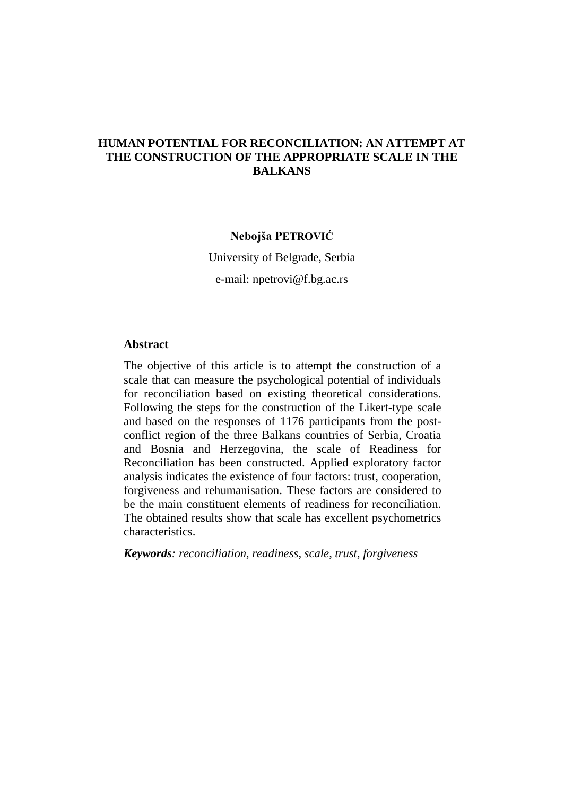### **HUMAN POTENTIAL FOR RECONCILIATION: AN ATTEMPT AT THE CONSTRUCTION OF THE APPROPRIATE SCALE IN THE BALKANS**

#### **Nebojša PETROVIĆ**

University of Belgrade, Serbia

e-mail: npetrovi@f.bg.ac.rs

#### **Abstract**

The objective of this article is to attempt the construction of a scale that can measure the psychological potential of individuals for reconciliation based on existing theoretical considerations. Following the steps for the construction of the Likert-type scale and based on the responses of 1176 participants from the postconflict region of the three Balkans countries of Serbia, Croatia and Bosnia and Herzegovina, the scale of Readiness for Reconciliation has been constructed. Applied exploratory factor analysis indicates the existence of four factors: trust, cooperation, forgiveness and rehumanisation. These factors are considered to be the main constituent elements of readiness for reconciliation. The obtained results show that scale has excellent psychometrics characteristics.

*Keywords: reconciliation, readiness, scale, trust, forgiveness*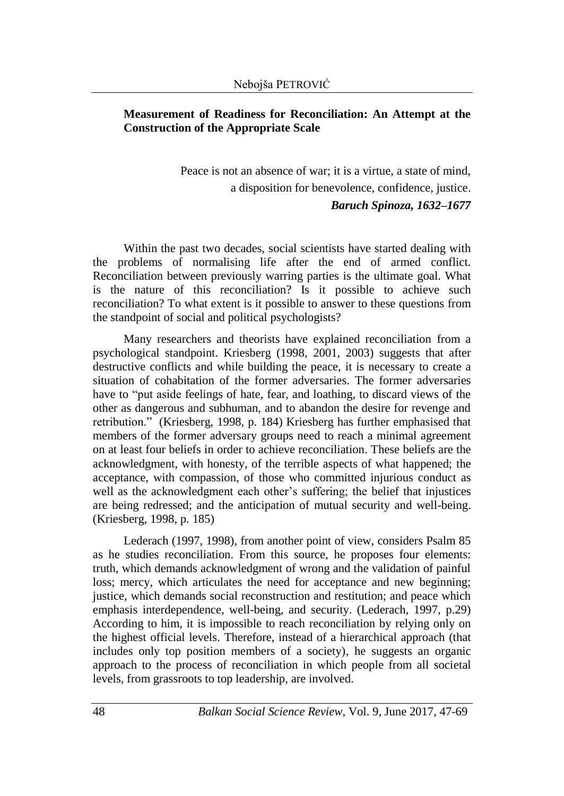## **Measurement of Readiness for Reconciliation: An Attempt at the Construction of the Appropriate Scale**

Peace is not an absence of war; it is a virtue, a state of mind, a disposition for benevolence, confidence, justice. *Baruch Spinoza, 1632–1677*

Within the past two decades, social scientists have started dealing with the problems of normalising life after the end of armed conflict. Reconciliation between previously warring parties is the ultimate goal. What is the nature of this reconciliation? Is it possible to achieve such reconciliation? To what extent is it possible to answer to these questions from the standpoint of social and political psychologists?

Many researchers and theorists have explained reconciliation from a psychological standpoint. Kriesberg (1998, 2001, 2003) suggests that after destructive conflicts and while building the peace, it is necessary to create a situation of cohabitation of the former adversaries. The former adversaries have to "put aside feelings of hate, fear, and loathing, to discard views of the other as dangerous and subhuman, and to abandon the desire for revenge and retribution." (Kriesberg, 1998, p. 184) Kriesberg has further emphasised that members of the former adversary groups need to reach a minimal agreement on at least four beliefs in order to achieve reconciliation. These beliefs are the acknowledgment, with honesty, of the terrible aspects of what happened; the acceptance, with compassion, of those who committed injurious conduct as well as the acknowledgment each other's suffering; the belief that injustices are being redressed; and the anticipation of mutual security and well-being. (Kriesberg, 1998, p. 185)

Lederach (1997, 1998), from another point of view, considers Psalm 85 as he studies reconciliation. From this source, he proposes four elements: truth, which demands acknowledgment of wrong and the validation of painful loss; mercy, which articulates the need for acceptance and new beginning; justice, which demands social reconstruction and restitution; and peace which emphasis interdependence, well-being, and security. (Lederach, 1997, p.29) According to him, it is impossible to reach reconciliation by relying only on the highest official levels. Therefore, instead of a hierarchical approach (that includes only top position members of a society), he suggests an organic approach to the process of reconciliation in which people from all societal levels, from grassroots to top leadership, are involved.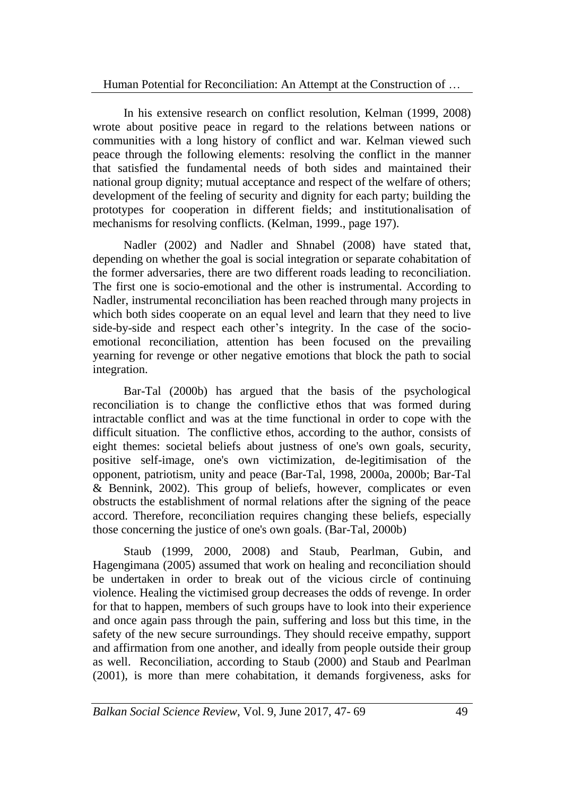In his extensive research on conflict resolution, Kelman (1999, 2008) wrote about positive peace in regard to the relations between nations or communities with a long history of conflict and war. Kelman viewed such peace through the following elements: resolving the conflict in the manner that satisfied the fundamental needs of both sides and maintained their national group dignity; mutual acceptance and respect of the welfare of others; development of the feeling of security and dignity for each party; building the prototypes for cooperation in different fields; and institutionalisation of mechanisms for resolving conflicts. (Kelman, 1999., page 197).

Nadler (2002) and Nadler and Shnabel (2008) have stated that, depending on whether the goal is social integration or separate cohabitation of the former adversaries, there are two different roads leading to reconciliation. The first one is socio-emotional and the other is instrumental. According to Nadler, instrumental reconciliation has been reached through many projects in which both sides cooperate on an equal level and learn that they need to live side-by-side and respect each other's integrity. In the case of the socioemotional reconciliation, attention has been focused on the prevailing yearning for revenge or other negative emotions that block the path to social integration.

Bar-Tal (2000b) has argued that the basis of the psychological reconciliation is to change the conflictive ethos that was formed during intractable conflict and was at the time functional in order to cope with the difficult situation. The conflictive ethos, according to the author, consists of eight themes: societal beliefs about justness of one's own goals, security, positive self-image, one's own victimization, de-legitimisation of the opponent, patriotism, unity and peace (Bar-Tal, 1998, 2000a, 2000b; Bar-Tal & Bennink, 2002). This group of beliefs, however, complicates or even obstructs the establishment of normal relations after the signing of the peace accord. Therefore, reconciliation requires changing these beliefs, especially those concerning the justice of one's own goals. (Bar-Tal, 2000b)

Staub (1999, 2000, 2008) and Staub, Pearlman, Gubin, and Hagengimana (2005) assumed that work on healing and reconciliation should be undertaken in order to break out of the vicious circle of continuing violence. Healing the victimised group decreases the odds of revenge. In order for that to happen, members of such groups have to look into their experience and once again pass through the pain, suffering and loss but this time, in the safety of the new secure surroundings. They should receive empathy, support and affirmation from one another, and ideally from people outside their group as well. Reconciliation, according to Staub (2000) and Staub and Pearlman (2001), is more than mere cohabitation, it demands forgiveness, asks for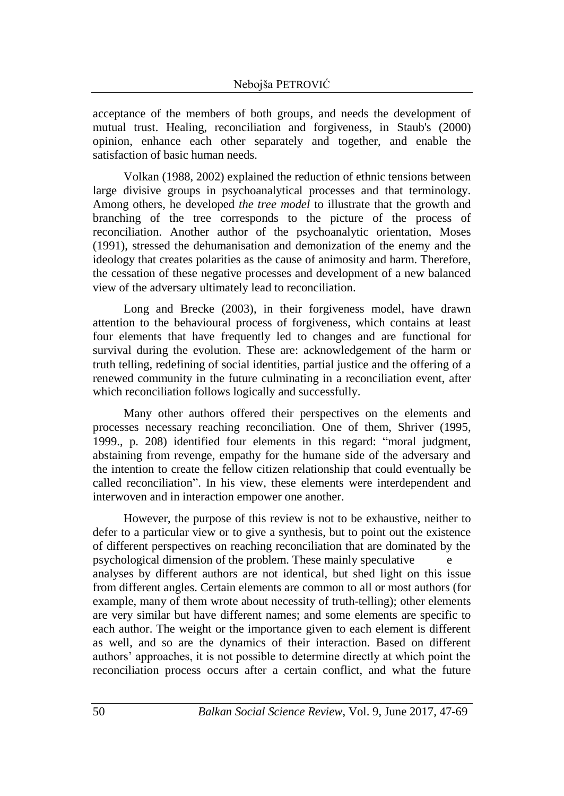acceptance of the members of both groups, and needs the development of mutual trust. Healing, reconciliation and forgiveness, in Staub's (2000) opinion, enhance each other separately and together, and enable the satisfaction of basic human needs.

Volkan (1988, 2002) explained the reduction of ethnic tensions between large divisive groups in psychoanalytical processes and that terminology. Among others, he developed *the tree model* to illustrate that the growth and branching of the tree corresponds to the picture of the process of reconciliation. Another author of the psychoanalytic orientation, Moses (1991), stressed the dehumanisation and demonization of the enemy and the ideology that creates polarities as the cause of animosity and harm. Therefore, the cessation of these negative processes and development of a new balanced view of the adversary ultimately lead to reconciliation.

Long and Brecke (2003), in their forgiveness model, have drawn attention to the behavioural process of forgiveness, which contains at least four elements that have frequently led to changes and are functional for survival during the evolution. These are: acknowledgement of the harm or truth telling, redefining of social identities, partial justice and the offering of a renewed community in the future culminating in a reconciliation event, after which reconciliation follows logically and successfully.

Many other authors offered their perspectives on the elements and processes necessary reaching reconciliation. One of them, Shriver (1995, 1999., p. 208) identified four elements in this regard: "moral judgment, abstaining from revenge, empathy for the humane side of the adversary and the intention to create the fellow citizen relationship that could eventually be called reconciliation". In his view, these elements were interdependent and interwoven and in interaction empower one another.

However, the purpose of this review is not to be exhaustive, neither to defer to a particular view or to give a synthesis, but to point out the existence of different perspectives on reaching reconciliation that are dominated by the psychological dimension of the problem. These mainly speculative analyses by different authors are not identical, but shed light on this issue from different angles. Certain elements are common to all or most authors (for example, many of them wrote about necessity of truth-telling); other elements are very similar but have different names; and some elements are specific to each author. The weight or the importance given to each element is different as well, and so are the dynamics of their interaction. Based on different authors' approaches, it is not possible to determine directly at which point the reconciliation process occurs after a certain conflict, and what the future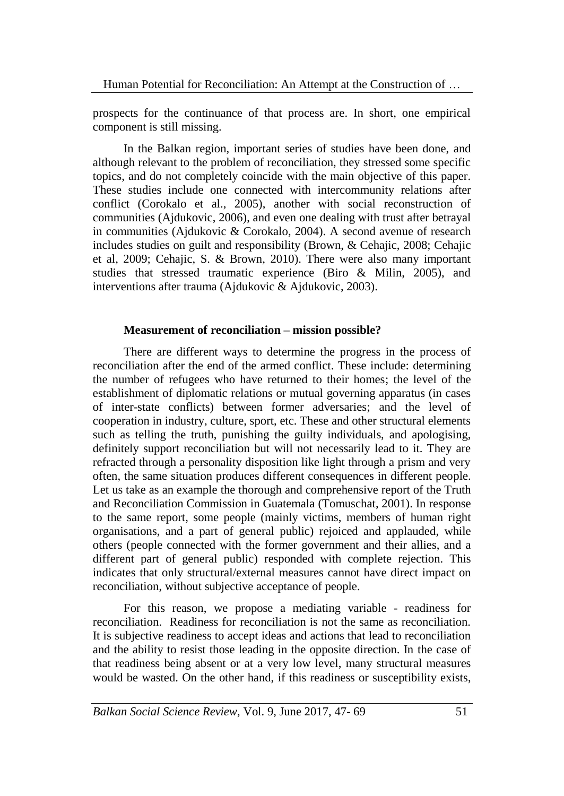prospects for the continuance of that process are. In short, one empirical component is still missing.

In the Balkan region, important series of studies have been done, and although relevant to the problem of reconciliation, they stressed some specific topics, and do not completely coincide with the main objective of this paper. These studies include one connected with intercommunity relations after conflict (Corokalo et al., 2005), another with social reconstruction of communities (Ajdukovic, 2006), and even one dealing with trust after betrayal in communities (Ajdukovic & Corokalo, 2004). A second avenue of research includes studies on guilt and responsibility (Brown, & Cehajic, 2008; Cehajic et al, 2009; Cehajic, S. & Brown, 2010). There were also many important studies that stressed traumatic experience (Biro & Milin, 2005), and interventions after trauma (Ajdukovic & Ajdukovic, 2003).

### **Measurement of reconciliation – mission possible?**

There are different ways to determine the progress in the process of reconciliation after the end of the armed conflict. These include: determining the number of refugees who have returned to their homes; the level of the establishment of diplomatic relations or mutual governing apparatus (in cases of inter-state conflicts) between former adversaries; and the level of cooperation in industry, culture, sport, etc. These and other structural elements such as telling the truth, punishing the guilty individuals, and apologising, definitely support reconciliation but will not necessarily lead to it. They are refracted through a personality disposition like light through a prism and very often, the same situation produces different consequences in different people. Let us take as an example the thorough and comprehensive report of the Truth and Reconciliation Commission in Guatemala (Tomuschat, 2001). In response to the same report, some people (mainly victims, members of human right organisations, and a part of general public) rejoiced and applauded, while others (people connected with the former government and their allies, and a different part of general public) responded with complete rejection. This indicates that only structural/external measures cannot have direct impact on reconciliation, without subjective acceptance of people.

For this reason, we propose a mediating variable - readiness for reconciliation. Readiness for reconciliation is not the same as reconciliation. It is subjective readiness to accept ideas and actions that lead to reconciliation and the ability to resist those leading in the opposite direction. In the case of that readiness being absent or at a very low level, many structural measures would be wasted. On the other hand, if this readiness or susceptibility exists,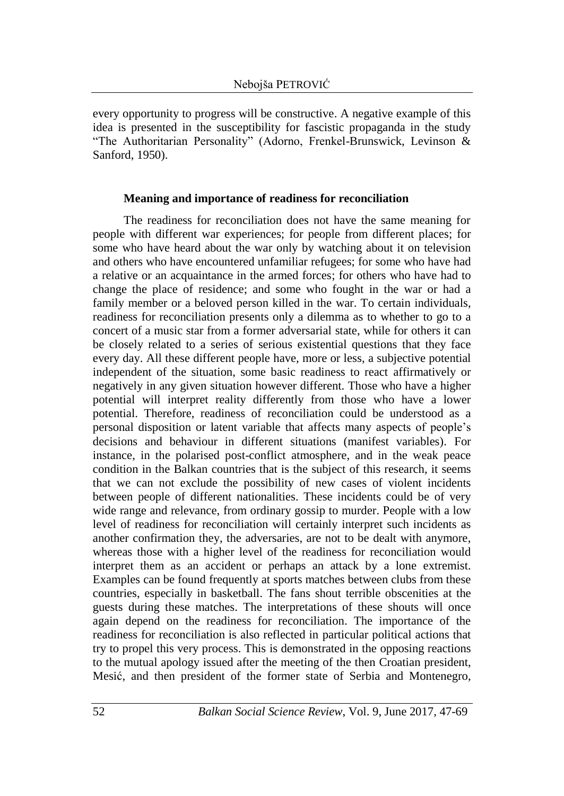every opportunity to progress will be constructive. A negative example of this idea is presented in the susceptibility for fascistic propaganda in the study "The Authoritarian Personality" (Adorno, Frenkel-Brunswick, Levinson & Sanford, 1950).

### **Meaning and importance of readiness for reconciliation**

The readiness for reconciliation does not have the same meaning for people with different war experiences; for people from different places; for some who have heard about the war only by watching about it on television and others who have encountered unfamiliar refugees; for some who have had a relative or an acquaintance in the armed forces; for others who have had to change the place of residence; and some who fought in the war or had a family member or a beloved person killed in the war. To certain individuals, readiness for reconciliation presents only a dilemma as to whether to go to a concert of a music star from a former adversarial state, while for others it can be closely related to a series of serious existential questions that they face every day. All these different people have, more or less, a subjective potential independent of the situation, some basic readiness to react affirmatively or negatively in any given situation however different. Those who have a higher potential will interpret reality differently from those who have a lower potential. Therefore, readiness of reconciliation could be understood as a personal disposition or latent variable that affects many aspects of people's decisions and behaviour in different situations (manifest variables). For instance, in the polarised post-conflict atmosphere, and in the weak peace condition in the Balkan countries that is the subject of this research, it seems that we can not exclude the possibility of new cases of violent incidents between people of different nationalities. These incidents could be of very wide range and relevance, from ordinary gossip to murder. People with a low level of readiness for reconciliation will certainly interpret such incidents as another confirmation they, the adversaries, are not to be dealt with anymore, whereas those with a higher level of the readiness for reconciliation would interpret them as an accident or perhaps an attack by a lone extremist. Examples can be found frequently at sports matches between clubs from these countries, especially in basketball. The fans shout terrible obscenities at the guests during these matches. The interpretations of these shouts will once again depend on the readiness for reconciliation. The importance of the readiness for reconciliation is also reflected in particular political actions that try to propel this very process. This is demonstrated in the opposing reactions to the mutual apology issued after the meeting of the then Croatian president, Mesić, and then president of the former state of Serbia and Montenegro,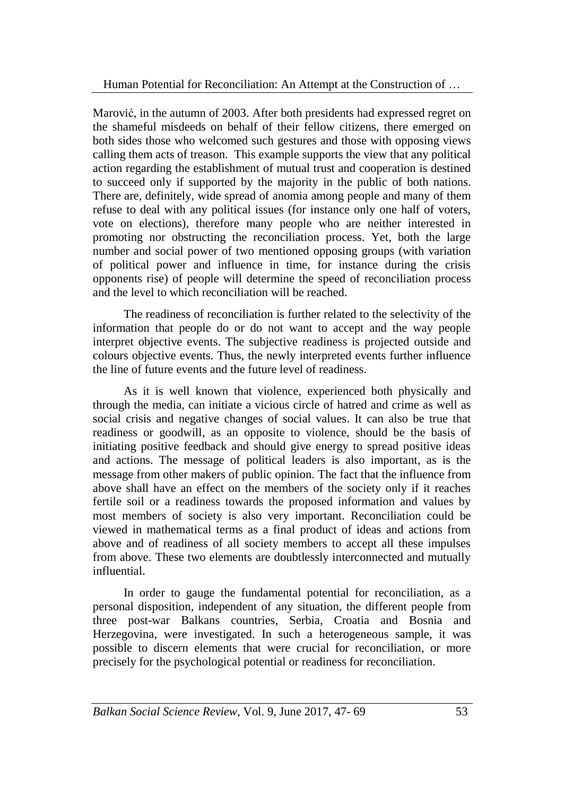Marović, in the autumn of 2003. After both presidents had expressed regret on the shameful misdeeds on behalf of their fellow citizens, there emerged on both sides those who welcomed such gestures and those with opposing views calling them acts of treason. This example supports the view that any political action regarding the establishment of mutual trust and cooperation is destined to succeed only if supported by the majority in the public of both nations. There are, definitely, wide spread of anomia among people and many of them refuse to deal with any political issues (for instance only one half of voters, vote on elections), therefore many people who are neither interested in promoting nor obstructing the reconciliation process. Yet, both the large number and social power of two mentioned opposing groups (with variation of political power and influence in time, for instance during the crisis opponents rise) of people will determine the speed of reconciliation process and the level to which reconciliation will be reached.

The readiness of reconciliation is further related to the selectivity of the information that people do or do not want to accept and the way people interpret objective events. The subjective readiness is projected outside and colours objective events. Thus, the newly interpreted events further influence the line of future events and the future level of readiness.

As it is well known that violence, experienced both physically and through the media, can initiate a vicious circle of hatred and crime as well as social crisis and negative changes of social values. It can also be true that readiness or goodwill, as an opposite to violence, should be the basis of initiating positive feedback and should give energy to spread positive ideas and actions. The message of political leaders is also important, as is the message from other makers of public opinion. The fact that the influence from above shall have an effect on the members of the society only if it reaches fertile soil or a readiness towards the proposed information and values by most members of society is also very important. Reconciliation could be viewed in mathematical terms as a final product of ideas and actions from above and of readiness of all society members to accept all these impulses from above. These two elements are doubtlessly interconnected and mutually influential.

In order to gauge the fundamental potential for reconciliation, as a personal disposition, independent of any situation, the different people from three post-war Balkans countries, Serbia, Croatia and Bosnia and Herzegovina, were investigated. In such a heterogeneous sample, it was possible to discern elements that were crucial for reconciliation, or more precisely for the psychological potential or readiness for reconciliation.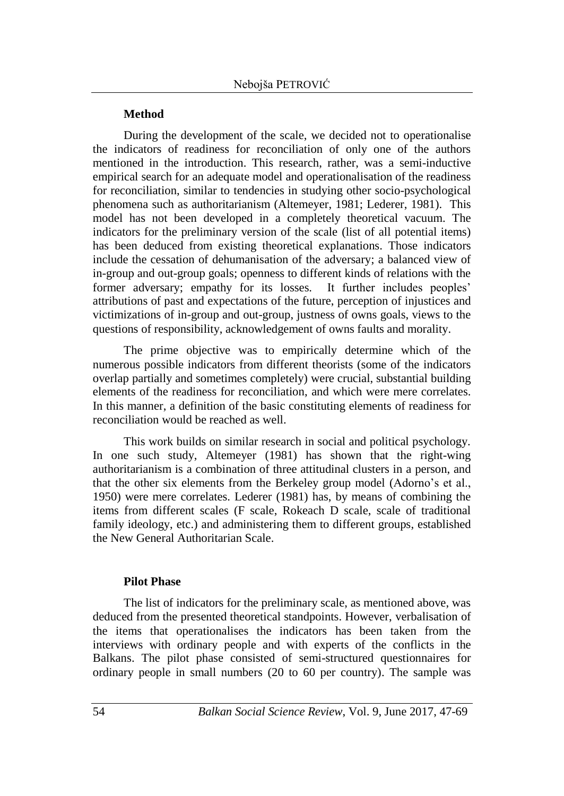## **Method**

During the development of the scale, we decided not to operationalise the indicators of readiness for reconciliation of only one of the authors mentioned in the introduction. This research, rather, was a semi-inductive empirical search for an adequate model and operationalisation of the readiness for reconciliation, similar to tendencies in studying other socio-psychological phenomena such as authoritarianism (Altemeyer, 1981; Lederer, 1981). This model has not been developed in a completely theoretical vacuum. The indicators for the preliminary version of the scale (list of all potential items) has been deduced from existing theoretical explanations. Those indicators include the cessation of dehumanisation of the adversary; a balanced view of in-group and out-group goals; openness to different kinds of relations with the former adversary; empathy for its losses. It further includes peoples' attributions of past and expectations of the future, perception of injustices and victimizations of in-group and out-group, justness of owns goals, views to the questions of responsibility, acknowledgement of owns faults and morality.

The prime objective was to empirically determine which of the numerous possible indicators from different theorists (some of the indicators overlap partially and sometimes completely) were crucial, substantial building elements of the readiness for reconciliation, and which were mere correlates. In this manner, a definition of the basic constituting elements of readiness for reconciliation would be reached as well.

This work builds on similar research in social and political psychology. In one such study, Altemeyer (1981) has shown that the right-wing authoritarianism is a combination of three attitudinal clusters in a person, and that the other six elements from the Berkeley group model (Adorno's et al., 1950) were mere correlates. Lederer (1981) has, by means of combining the items from different scales (F scale, Rokeach D scale, scale of traditional family ideology, etc.) and administering them to different groups, established the New General Authoritarian Scale.

## **Pilot Phase**

The list of indicators for the preliminary scale, as mentioned above, was deduced from the presented theoretical standpoints. However, verbalisation of the items that operationalises the indicators has been taken from the interviews with ordinary people and with experts of the conflicts in the Balkans. The pilot phase consisted of semi-structured questionnaires for ordinary people in small numbers (20 to 60 per country). The sample was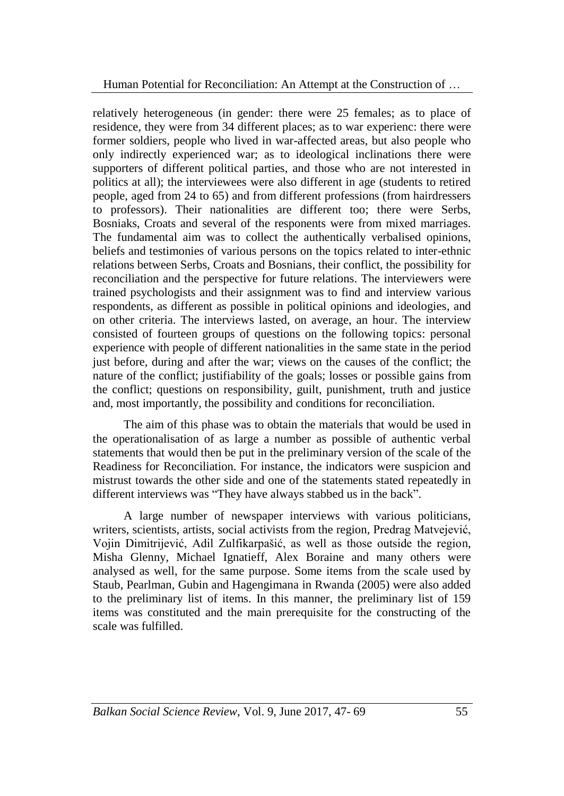relatively heterogeneous (in gender: there were 25 females; as to place of residence, they were from 34 different places; as to war experienc: there were former soldiers, people who lived in war-affected areas, but also people who only indirectly experienced war; as to ideological inclinations there were supporters of different political parties, and those who are not interested in politics at all); the interviewees were also different in age (students to retired people, aged from 24 to 65) and from different professions (from hairdressers to professors). Their nationalities are different too; there were Serbs, Bosniaks, Croats and several of the responents were from mixed marriages. The fundamental aim was to collect the authentically verbalised opinions, beliefs and testimonies of various persons on the topics related to inter-ethnic relations between Serbs, Croats and Bosnians, their conflict, the possibility for reconciliation and the perspective for future relations. The interviewers were trained psychologists and their assignment was to find and interview various respondents, as different as possible in political opinions and ideologies, and on other criteria. The interviews lasted, on average, an hour. The interview consisted of fourteen groups of questions on the following topics: personal experience with people of different nationalities in the same state in the period just before, during and after the war; views on the causes of the conflict; the nature of the conflict; justifiability of the goals; losses or possible gains from the conflict; questions on responsibility, guilt, punishment, truth and justice and, most importantly, the possibility and conditions for reconciliation.

The aim of this phase was to obtain the materials that would be used in the operationalisation of as large a number as possible of authentic verbal statements that would then be put in the preliminary version of the scale of the Readiness for Reconciliation. For instance, the indicators were suspicion and mistrust towards the other side and one of the statements stated repeatedly in different interviews was "They have always stabbed us in the back".

A large number of newspaper interviews with various politicians, writers, scientists, artists, social activists from the region, Predrag Matvejević, Vojin Dimitrijević, Adil Zulfikarpašić, as well as those outside the region, Misha Glenny, Michael Ignatieff, Alex Boraine and many others were analysed as well, for the same purpose. Some items from the scale used by Staub, Pearlman, Gubin and Hagengimana in Rwanda (2005) were also added to the preliminary list of items. In this manner, the preliminary list of 159 items was constituted and the main prerequisite for the constructing of the scale was fulfilled.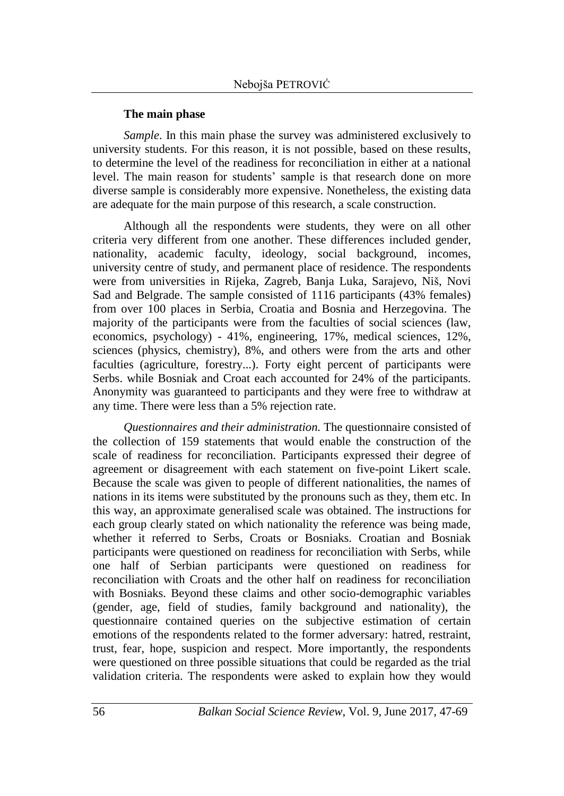## **The main phase**

*Sample*. In this main phase the survey was administered exclusively to university students. For this reason, it is not possible, based on these results, to determine the level of the readiness for reconciliation in either at a national level. The main reason for students' sample is that research done on more diverse sample is considerably more expensive. Nonetheless, the existing data are adequate for the main purpose of this research, a scale construction.

Although all the respondents were students, they were on all other criteria very different from one another. These differences included gender, nationality, academic faculty, ideology, social background, incomes, university centre of study, and permanent place of residence. The respondents were from universities in Rijeka, Zagreb, Banja Luka, Sarajevo, Niš, Novi Sad and Belgrade. The sample consisted of 1116 participants (43% females) from over 100 places in Serbia, Croatia and Bosnia and Herzegovina. The majority of the participants were from the faculties of social sciences (law, economics, psychology) - 41%, engineering, 17%, medical sciences, 12%, sciences (physics, chemistry), 8%, and others were from the arts and other faculties (agriculture, forestry...). Forty eight percent of participants were Serbs. while Bosniak and Croat each accounted for 24% of the participants. Anonymity was guaranteed to participants and they were free to withdraw at any time. There were less than a 5% rejection rate.

*Questionnaires and their administration.* The questionnaire consisted of the collection of 159 statements that would enable the construction of the scale of readiness for reconciliation. Participants expressed their degree of agreement or disagreement with each statement on five-point Likert scale. Because the scale was given to people of different nationalities, the names of nations in its items were substituted by the pronouns such as they, them etc. In this way, an approximate generalised scale was obtained. The instructions for each group clearly stated on which nationality the reference was being made, whether it referred to Serbs, Croats or Bosniaks. Croatian and Bosniak participants were questioned on readiness for reconciliation with Serbs, while one half of Serbian participants were questioned on readiness for reconciliation with Croats and the other half on readiness for reconciliation with Bosniaks. Beyond these claims and other socio-demographic variables (gender, age, field of studies, family background and nationality), the questionnaire contained queries on the subjective estimation of certain emotions of the respondents related to the former adversary: hatred, restraint, trust, fear, hope, suspicion and respect. More importantly, the respondents were questioned on three possible situations that could be regarded as the trial validation criteria. The respondents were asked to explain how they would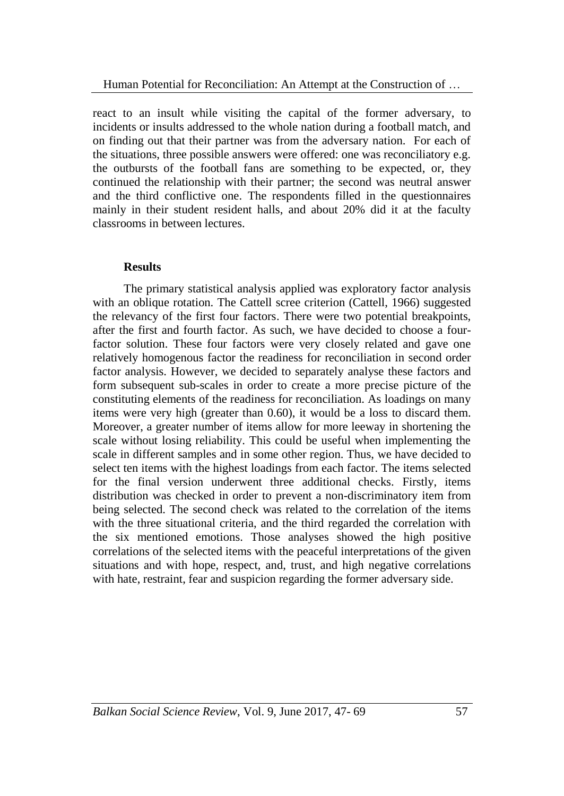react to an insult while visiting the capital of the former adversary, to incidents or insults addressed to the whole nation during a football match, and on finding out that their partner was from the adversary nation. For each of the situations, three possible answers were offered: one was reconciliatory e.g. the outbursts of the football fans are something to be expected, or, they continued the relationship with their partner; the second was neutral answer and the third conflictive one. The respondents filled in the questionnaires mainly in their student resident halls, and about 20% did it at the faculty classrooms in between lectures.

## **Results**

The primary statistical analysis applied was exploratory factor analysis with an oblique rotation. The Cattell scree criterion (Cattell, 1966) suggested the relevancy of the first four factors. There were two potential breakpoints, after the first and fourth factor. As such, we have decided to choose a fourfactor solution. These four factors were very closely related and gave one relatively homogenous factor the readiness for reconciliation in second order factor analysis. However, we decided to separately analyse these factors and form subsequent sub-scales in order to create a more precise picture of the constituting elements of the readiness for reconciliation. As loadings on many items were very high (greater than 0.60), it would be a loss to discard them. Moreover, a greater number of items allow for more leeway in shortening the scale without losing reliability. This could be useful when implementing the scale in different samples and in some other region. Thus, we have decided to select ten items with the highest loadings from each factor. The items selected for the final version underwent three additional checks. Firstly, items distribution was checked in order to prevent a non-discriminatory item from being selected. The second check was related to the correlation of the items with the three situational criteria, and the third regarded the correlation with the six mentioned emotions. Those analyses showed the high positive correlations of the selected items with the peaceful interpretations of the given situations and with hope, respect, and, trust, and high negative correlations with hate, restraint, fear and suspicion regarding the former adversary side.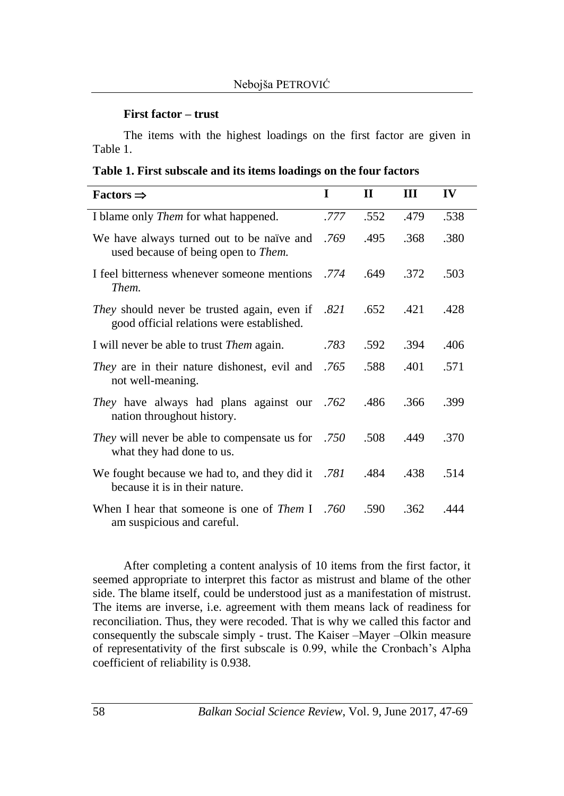### **First factor – trust**

The items with the highest loadings on the first factor are given in Table 1.

**Table 1. First subscale and its items loadings on the four factors**

| $Factors \Rightarrow$                                                                                | $\bf{I}$ | $\mathbf H$ | Ш    | IV   |
|------------------------------------------------------------------------------------------------------|----------|-------------|------|------|
| I blame only <i>Them</i> for what happened.                                                          | .777     | .552        | .479 | .538 |
| We have always turned out to be naïve and<br>used because of being open to <i>Them</i> .             | .769     | .495        | .368 | .380 |
| I feel bitterness whenever someone mentions .774<br>Them.                                            |          | .649        | .372 | .503 |
| <i>They</i> should never be trusted again, even if .821<br>good official relations were established. |          | .652        | .421 | .428 |
| I will never be able to trust <i>Them</i> again.                                                     | .783     | .592        | .394 | .406 |
| <i>They</i> are in their nature dishonest, evil and .765<br>not well-meaning.                        |          | .588        | .401 | .571 |
| They have always had plans against our .762<br>nation throughout history.                            |          | .486        | .366 | .399 |
| <i>They</i> will never be able to compensate us for .750<br>what they had done to us.                |          | .508        | .449 | .370 |
| We fought because we had to, and they did it .781<br>because it is in their nature.                  |          | .484        | .438 | .514 |
| When I hear that someone is one of <i>Them</i> I .760<br>am suspicious and careful.                  |          | .590        | .362 | .444 |

After completing a content analysis of 10 items from the first factor, it seemed appropriate to interpret this factor as mistrust and blame of the other side. The blame itself, could be understood just as a manifestation of mistrust. The items are inverse, i.e. agreement with them means lack of readiness for reconciliation. Thus, they were recoded. That is why we called this factor and consequently the subscale simply - trust. The Kaiser –Mayer –Olkin measure of representativity of the first subscale is 0.99, while the Cronbach's Alpha coefficient of reliability is 0.938.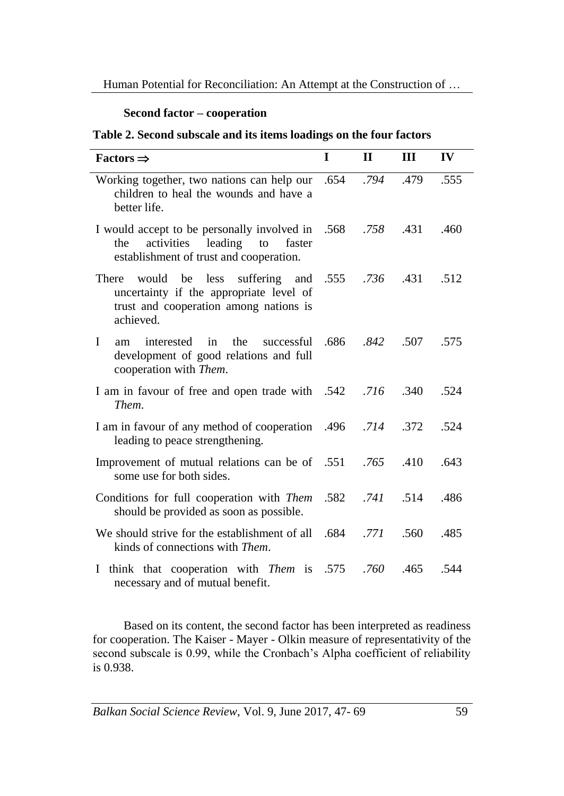## **Second factor – cooperation**

**Table 2. Second subscale and its items loadings on the four factors**

| Factors $\Rightarrow$                                                                                                                                     | T | $\mathbf{H}$ | III  | IV   |
|-----------------------------------------------------------------------------------------------------------------------------------------------------------|---|--------------|------|------|
| Working together, two nations can help our .654 .794<br>children to heal the wounds and have a<br>better life.                                            |   |              | .479 | .555 |
| I would accept to be personally involved in .568 .758<br>leading<br>activities<br>to<br>faster<br>the<br>establishment of trust and cooperation.          |   |              | .431 | .460 |
| suffering and .555 .736<br>would<br>be<br>less<br>There<br>uncertainty if the appropriate level of<br>trust and cooperation among nations is<br>achieved. |   |              | .431 | .512 |
| successful .686 .842 .507<br>$\mathbf{I}$<br>interested in<br>the<br>am<br>development of good relations and full<br>cooperation with Them.               |   |              |      | .575 |
| 1 am in favour of free and open trade with .542 .716 .340<br>Them.                                                                                        |   |              |      | .524 |
| 172. 714. 714. I am in favour of any method of cooperation 496.<br>leading to peace strengthening.                                                        |   |              |      | .524 |
| Improvement of mutual relations can be of .551 .765<br>some use for both sides.                                                                           |   |              | .410 | .643 |
| Conditions for full cooperation with Them .582<br>should be provided as soon as possible.                                                                 |   | $.741$ .514  |      | .486 |
| Ve should strive for the establishment of all .684 .771<br>kinds of connections with Them.                                                                |   |              | .560 | .485 |
| I think that cooperation with <i>Them</i> is .575<br>necessary and of mutual benefit.                                                                     |   | .760         | .465 | .544 |

Based on its content, the second factor has been interpreted as readiness for cooperation. The Kaiser - Mayer - Olkin measure of representativity of the second subscale is 0.99, while the Cronbach's Alpha coefficient of reliability is 0.938.

*Balkan Social Science Review, Vol. 9, June 2017, 47-69* 59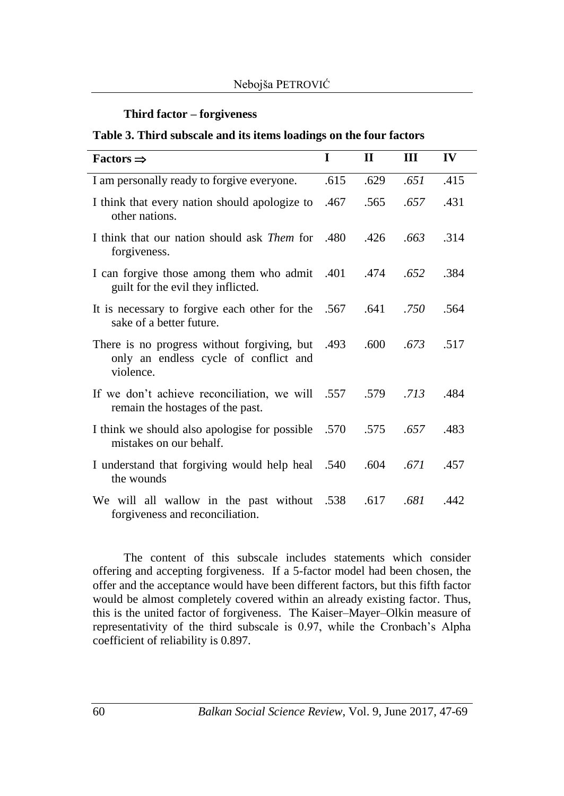## **Third factor – forgiveness**

#### **Table 3. Third subscale and its items loadings on the four factors**

| Factors $\Rightarrow$                                                                                  | I    | $\mathbf H$ | Ш    | IV   |
|--------------------------------------------------------------------------------------------------------|------|-------------|------|------|
| I am personally ready to forgive everyone.                                                             | .615 | .629        | .651 | .415 |
| I think that every nation should apologize to<br>other nations.                                        | .467 | .565        | .657 | .431 |
| I think that our nation should ask <i>Them</i> for .480<br>forgiveness.                                |      | .426        | .663 | .314 |
| I can forgive those among them who admit .401<br>guilt for the evil they inflicted.                    |      | .474        | .652 | .384 |
| It is necessary to forgive each other for the .567<br>sake of a better future.                         |      | .641        | .750 | .564 |
| There is no progress without forgiving, but .493<br>only an endless cycle of conflict and<br>violence. |      | .600        | .673 | .517 |
| If we don't achieve reconciliation, we will .557<br>remain the hostages of the past.                   |      | .579        | .713 | .484 |
| I think we should also apologise for possible .570<br>mistakes on our behalf.                          |      | .575        | .657 | .483 |
| I understand that forgiving would help heal .540<br>the wounds                                         |      | .604        | .671 | .457 |
| We will all wallow in the past without .538<br>forgiveness and reconciliation.                         |      | .617        | .681 | .442 |

The content of this subscale includes statements which consider offering and accepting forgiveness. If a 5-factor model had been chosen, the offer and the acceptance would have been different factors, but this fifth factor would be almost completely covered within an already existing factor. Thus, this is the united factor of forgiveness. The Kaiser–Mayer–Olkin measure of representativity of the third subscale is 0.97, while the Cronbach's Alpha coefficient of reliability is 0.897.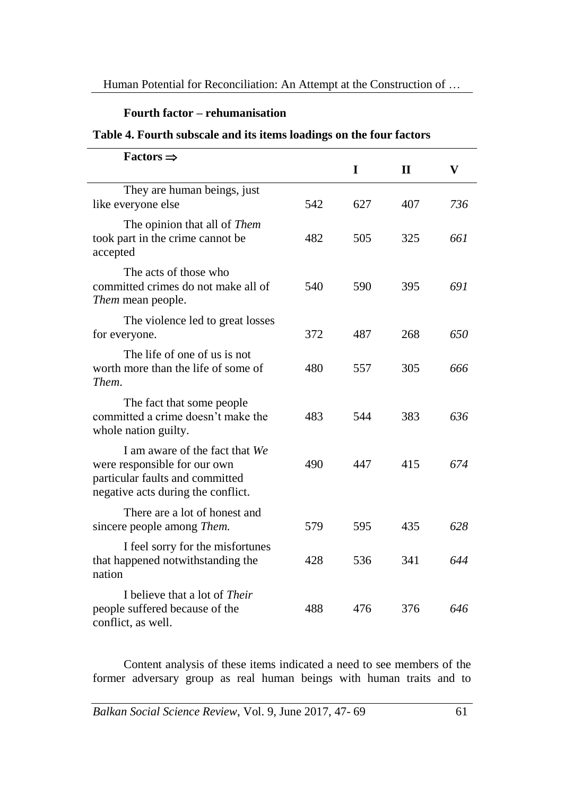# **Fourth factor – rehumanisation**

## **Table 4. Fourth subscale and its items loadings on the four factors**

| Factors $\Rightarrow$                                                                                                                   |     | I   | $\mathbf{I}$ | $\mathbf{V}$ |
|-----------------------------------------------------------------------------------------------------------------------------------------|-----|-----|--------------|--------------|
| They are human beings, just<br>like everyone else                                                                                       | 542 | 627 | 407          | 736          |
| The opinion that all of Them<br>took part in the crime cannot be<br>accepted                                                            | 482 | 505 | 325          | 661          |
| The acts of those who<br>committed crimes do not make all of<br>Them mean people.                                                       | 540 | 590 | 395          | 691          |
| The violence led to great losses<br>for everyone.                                                                                       | 372 | 487 | 268          | 650          |
| The life of one of us is not<br>worth more than the life of some of<br>Them.                                                            | 480 | 557 | 305          | 666          |
| The fact that some people<br>committed a crime doesn't make the<br>whole nation guilty.                                                 | 483 | 544 | 383          | 636          |
| I am aware of the fact that We<br>were responsible for our own<br>particular faults and committed<br>negative acts during the conflict. | 490 | 447 | 415          | 674          |
| There are a lot of honest and<br>sincere people among <i>Them</i> .                                                                     | 579 | 595 | 435          | 628          |
| I feel sorry for the misfortunes<br>that happened notwithstanding the<br>nation                                                         | 428 | 536 | 341          | 644          |
| I believe that a lot of <i>Their</i><br>people suffered because of the<br>conflict, as well.                                            | 488 | 476 | 376          | 646          |

Content analysis of these items indicated a need to see members of the former adversary group as real human beings with human traits and to

*Balkan Social Science Review, Vol. 9, June 2017, 47-69* 61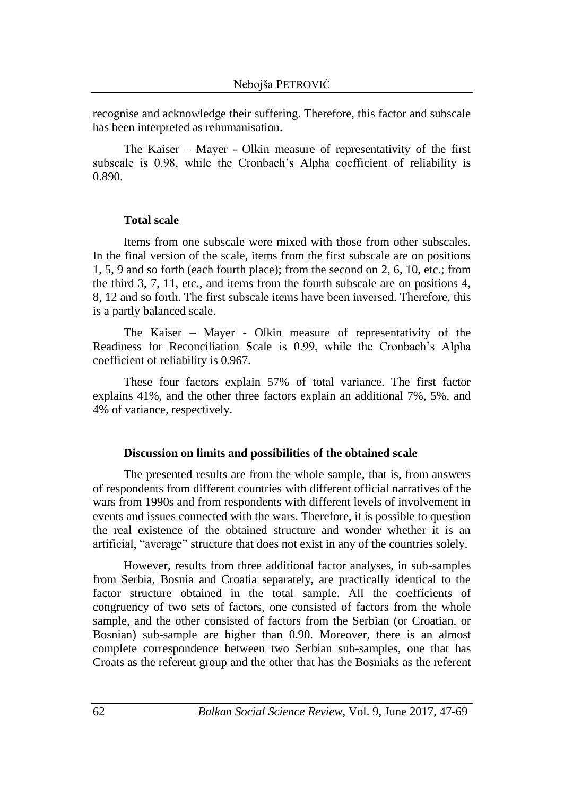recognise and acknowledge their suffering. Therefore, this factor and subscale has been interpreted as rehumanisation.

The Kaiser – Mayer - Olkin measure of representativity of the first subscale is 0.98, while the Cronbach's Alpha coefficient of reliability is 0.890.

#### **Total scale**

Items from one subscale were mixed with those from other subscales. In the final version of the scale, items from the first subscale are on positions 1, 5, 9 and so forth (each fourth place); from the second on 2, 6, 10, etc.; from the third 3, 7, 11, etc., and items from the fourth subscale are on positions 4, 8, 12 and so forth. The first subscale items have been inversed. Therefore, this is a partly balanced scale.

The Kaiser – Mayer - Olkin measure of representativity of the Readiness for Reconciliation Scale is 0.99, while the Cronbach's Alpha coefficient of reliability is 0.967.

These four factors explain 57% of total variance. The first factor explains 41%, and the other three factors explain an additional 7%, 5%, and 4% of variance, respectively.

#### **Discussion on limits and possibilities of the obtained scale**

The presented results are from the whole sample, that is, from answers of respondents from different countries with different official narratives of the wars from 1990s and from respondents with different levels of involvement in events and issues connected with the wars. Therefore, it is possible to question the real existence of the obtained structure and wonder whether it is an artificial, "average" structure that does not exist in any of the countries solely.

However, results from three additional factor analyses, in sub-samples from Serbia, Bosnia and Croatia separately, are practically identical to the factor structure obtained in the total sample. All the coefficients of congruency of two sets of factors, one consisted of factors from the whole sample, and the other consisted of factors from the Serbian (or Croatian, or Bosnian) sub-sample are higher than 0.90. Moreover, there is an almost complete correspondence between two Serbian sub-samples, one that has Croats as the referent group and the other that has the Bosniaks as the referent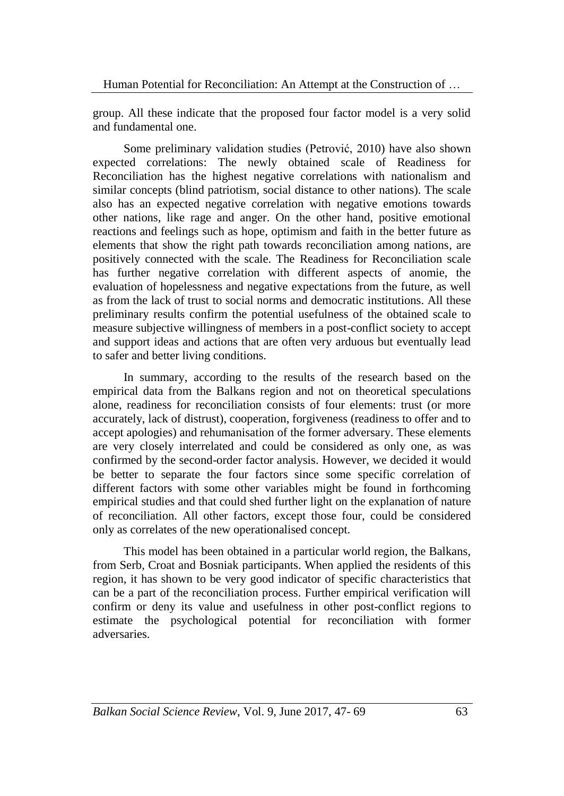group. All these indicate that the proposed four factor model is a very solid and fundamental one.

Some preliminary validation studies (Petrović, 2010) have also shown expected correlations: The newly obtained scale of Readiness for Reconciliation has the highest negative correlations with nationalism and similar concepts (blind patriotism, social distance to other nations). The scale also has an expected negative correlation with negative emotions towards other nations, like rage and anger. On the other hand, positive emotional reactions and feelings such as hope, optimism and faith in the better future as elements that show the right path towards reconciliation among nations, are positively connected with the scale. The Readiness for Reconciliation scale has further negative correlation with different aspects of anomie, the evaluation of hopelessness and negative expectations from the future, as well as from the lack of trust to social norms and democratic institutions. All these preliminary results confirm the potential usefulness of the obtained scale to measure subjective willingness of members in a post-conflict society to accept and support ideas and actions that are often very arduous but eventually lead to safer and better living conditions.

In summary, according to the results of the research based on the empirical data from the Balkans region and not on theoretical speculations alone, readiness for reconciliation consists of four elements: trust (or more accurately, lack of distrust), cooperation, forgiveness (readiness to offer and to accept apologies) and rehumanisation of the former adversary. These elements are very closely interrelated and could be considered as only one, as was confirmed by the second-order factor analysis. However, we decided it would be better to separate the four factors since some specific correlation of different factors with some other variables might be found in forthcoming empirical studies and that could shed further light on the explanation of nature of reconciliation. All other factors, except those four, could be considered only as correlates of the new operationalised concept.

This model has been obtained in a particular world region, the Balkans, from Serb, Croat and Bosniak participants. When applied the residents of this region, it has shown to be very good indicator of specific characteristics that can be a part of the reconciliation process. Further empirical verification will confirm or deny its value and usefulness in other post-conflict regions to estimate the psychological potential for reconciliation with former adversaries.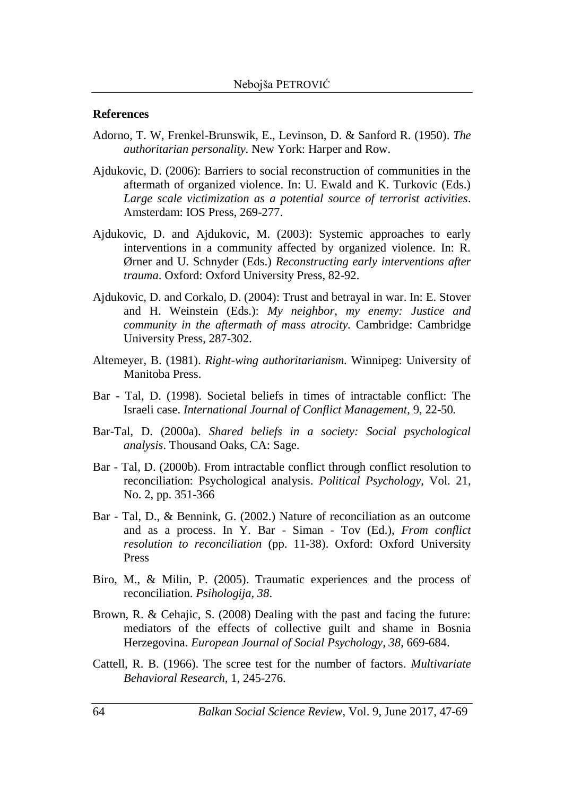#### **References**

- Adorno, T. W, Frenkel-Brunswik, E., Levinson, D. & Sanford R. (1950). *The authoritarian personality.* New York: Harper and Row.
- Ajdukovic, D. (2006): Barriers to social reconstruction of communities in the aftermath of organized violence. In: U. Ewald and K. Turkovic (Eds.) *Large scale victimization as a potential source of terrorist activities*. Amsterdam: IOS Press, 269-277.
- Ajdukovic, D. and Ajdukovic, M. (2003): Systemic approaches to early interventions in a community affected by organized violence. In: R. Ørner and U. Schnyder (Eds.) *Reconstructing early interventions after trauma*. Oxford: Oxford University Press, 82-92.
- Ajdukovic, D. and Corkalo, D. (2004): Trust and betrayal in war. In: E. Stover and H. Weinstein (Eds.): *My neighbor, my enemy: Justice and community in the aftermath of mass atrocity.* Cambridge: Cambridge University Press, 287-302.
- Altemeyer, B. (1981). *Right-wing authoritarianism.* Winnipeg: University of Manitoba Press.
- Bar Tal, D. (1998). Societal beliefs in times of intractable conflict: The Israeli case. *International Journal of Conflict Management*, 9, 22-50*.*
- Bar-Tal, D. (2000a). *Shared beliefs in a society: Social psychological analysis*. Thousand Oaks, CA: Sage.
- Bar Tal, D. (2000b). From intractable conflict through conflict resolution to reconciliation: Psychological analysis. *Political Psychology*, Vol. 21, No. 2, pp. 351-366
- Bar Tal, D., & Bennink, G. (2002.) Nature of reconciliation as an outcome and as a process. In Y. Bar - Siman - Tov (Ed.), *From conflict resolution to reconciliation* (pp. 11-38). Oxford: Oxford University Press
- Biro, M., & Milin, P. (2005). Traumatic experiences and the process of reconciliation. *Psihologija, 38*.
- Brown, R. & Cehajic, S. (2008) Dealing with the past and facing the future: mediators of the effects of collective guilt and shame in Bosnia Herzegovina. *European Journal of Social Psychology, 38*, 669-684.
- Cattell, R. B. (1966). The scree test for the number of factors. *Multivariate Behavioral Research,* 1, 245-276.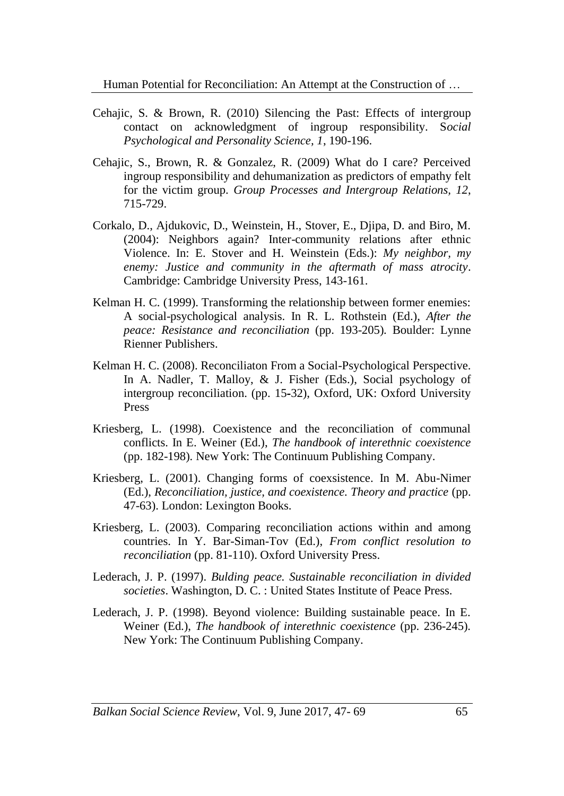Human Potential for Reconciliation: An Attempt at the Construction of …

- Cehajic, S. & Brown, R. (2010) Silencing the Past: Effects of intergroup contact on acknowledgment of ingroup responsibility. S*ocial Psychological and Personality Science, 1*, 190-196.
- Cehajic, S., Brown, R. & Gonzalez, R. (2009) What do I care? Perceived ingroup responsibility and dehumanization as predictors of empathy felt for the victim group. *Group Processes and Intergroup Relations, 12*, 715-729.
- Corkalo, D., Ajdukovic, D., Weinstein, H., Stover, E., Djipa, D. and Biro, M. (2004): Neighbors again? Inter-community relations after ethnic Violence. In: E. Stover and H. Weinstein (Eds.): *My neighbor, my enemy: Justice and community in the aftermath of mass atrocity*. Cambridge: Cambridge University Press, 143-161.
- Kelman H. C. (1999). Transforming the relationship between former enemies: A social-psychological analysis. In R. L. Rothstein (Ed.), *After the peace: Resistance and reconciliation* (pp. 193-205)*.* Boulder: Lynne Rienner Publishers.
- Kelman H. C. (2008). Reconciliaton From a Social-Psychological Perspective. In A. Nadler, T. Malloy, & J. Fisher (Eds.), Social psychology of intergroup reconciliation. (pp. 15‐32), Oxford, UK: Oxford University Press
- Kriesberg, L. (1998). Coexistence and the reconciliation of communal conflicts. In E. Weiner (Ed.), *The handbook of interethnic coexistence*  (pp. 182-198)*.* New York: The Continuum Publishing Company.
- Kriesberg, L. (2001). Changing forms of coexsistence. In M. Abu-Nimer (Ed.), *Reconciliation, justice, and coexistence. Theory and practice* (pp. 47-63). London: Lexington Books.
- Kriesberg, L. (2003). Comparing reconciliation actions within and among countries. In Y. Bar-Siman-Tov (Ed.), *From conflict resolution to reconciliation* (pp. 81-110). Oxford University Press.
- Lederach, J. P. (1997). *Bulding peace. Sustainable reconciliation in divided societies*. Washington, D. C. : United States Institute of Peace Press.
- Lederach, J. P. (1998). Beyond violence: Building sustainable peace. In E. Weiner (Ed.), *The handbook of interethnic coexistence* (pp. 236-245)*.* New York: The Continuum Publishing Company.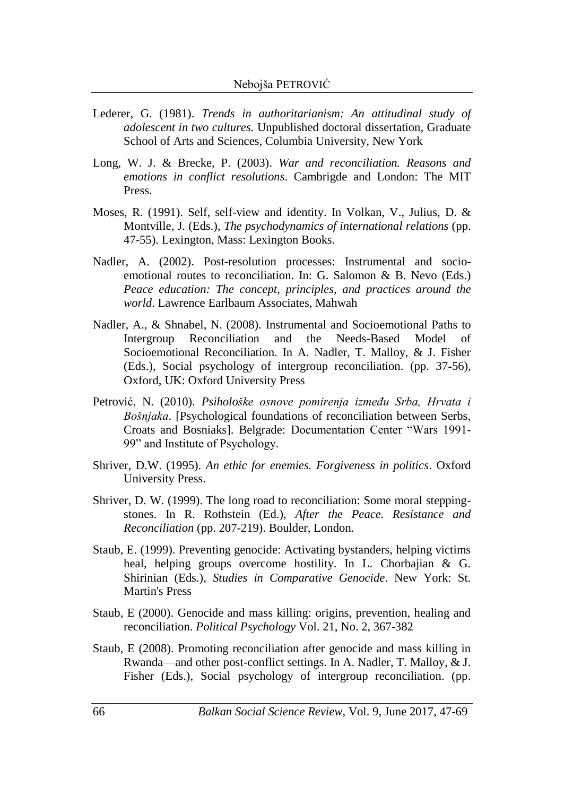- Lederer, G. (1981). *Trends in authoritarianism: An attitudinal study of adolescent in two cultures.* Unpublished doctoral dissertation, Graduate School of Arts and Sciences, Columbia University, New York
- Long, W. J. & Brecke, P. (2003). *War and reconciliation. Reasons and emotions in conflict resolutions*. Cambrigde and London: The MIT Press.
- Moses, R. (1991). Self, self-view and identity. In Volkan, V., Julius, D. & Montville, J. (Eds.), *The psychodynamics of international relations* (pp. 47-55). Lexington, Mass: Lexington Books.
- Nadler, A. (2002). Post-resolution processes: Instrumental and socioemotional routes to reconciliation. In: G. Salomon & B. Nevo (Eds.) *Peace education: The concept, principles, and practices around the world*. Lawrence Earlbaum Associates, Mahwah
- Nadler, A., & Shnabel, N. (2008). Instrumental and Socioemotional Paths to Intergroup Reconciliation and the Needs-Based Model of Socioemotional Reconciliation. In A. Nadler, T. Malloy, & J. Fisher (Eds.), Social psychology of intergroup reconciliation. (pp. 37‐56), Oxford, UK: Oxford University Press
- Petrović, N. (2010). *Psihološke osnove pomirenja između Srba, Hrvata i Bošnjaka*. [Psychological foundations of reconciliation between Serbs, Croats and Bosniaks]. Belgrade: Documentation Center "Wars 1991- 99" and Institute of Psychology.
- Shriver, D.W. (1995). *An ethic for enemies. Forgiveness in politics*. Oxford University Press.
- Shriver, D. W. (1999). The long road to reconciliation: Some moral steppingstones. In R. Rothstein (Ed.), *After the Peace. Resistance and Reconciliation* (pp. 207-219). Boulder, London.
- Staub, E. (1999). Preventing genocide: Activating bystanders, helping victims heal, helping groups overcome hostility. In L. Chorbajian & G. Shirinian (Eds.), *Studies in Comparative Genocide*. New York: St. Martin's Press
- Staub, E (2000). Genocide and mass killing: origins, prevention, healing and reconciliation. *Political Psychology* Vol. 21, No. 2, 367-382
- Staub, E (2008). Promoting reconciliation after genocide and mass killing in Rwanda—and other post-conflict settings. In A. Nadler, T. Malloy, & J. Fisher (Eds.), Social psychology of intergroup reconciliation. (pp.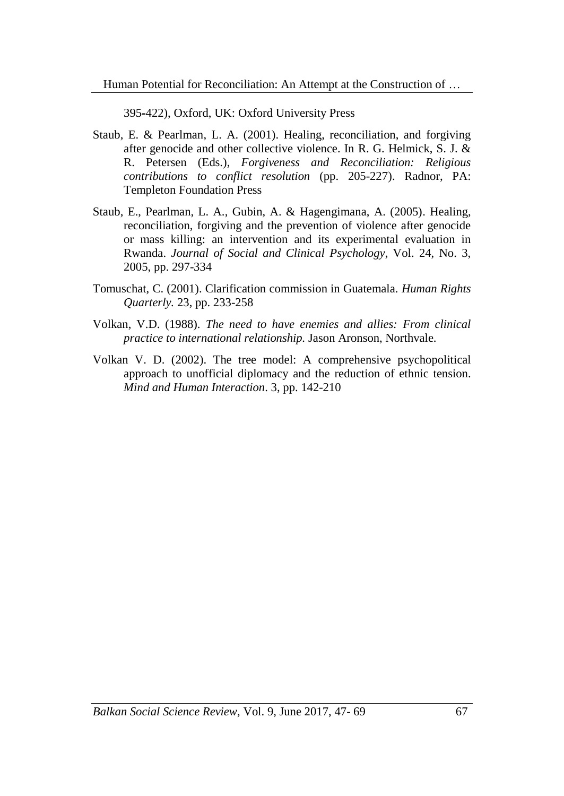395‐422), Oxford, UK: Oxford University Press

- Staub, E. & Pearlman, L. A. (2001). Healing, reconciliation, and forgiving after genocide and other collective violence. In R. G. Helmick, S. J. & R. Petersen (Eds.), *Forgiveness and Reconciliation: Religious contributions to conflict resolution* (pp. 205-227). Radnor, PA: Templeton Foundation Press
- Staub, E., Pearlman, L. A., Gubin, A. & Hagengimana, A. (2005). Healing, reconciliation, forgiving and the prevention of violence after genocide or mass killing: an intervention and its experimental evaluation in Rwanda. *Journal of Social and Clinical Psychology*, Vol. 24, No. 3, 2005, pp. 297-334
- Tomuschat, C. (2001). Clarification commission in Guatemala. *Human Rights Quarterly.* 23, pp. 233-258
- Volkan, V.D. (1988). *The need to have enemies and allies: From clinical practice to international relationship.* Jason Aronson, Northvale.
- Volkan V. D. (2002). The tree model: A comprehensive psychopolitical approach to unofficial diplomacy and the reduction of ethnic tension. *Mind and Human Interaction*. 3, pp. 142-210